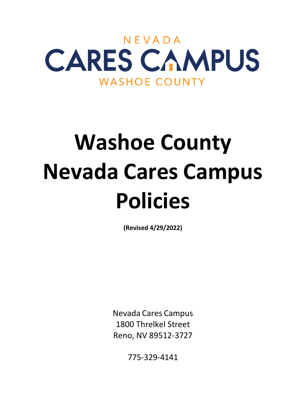

# **Washoe County Nevada Cares Campus Policies**

**(Revised 4/29/2022)**

Nevada Cares Campus 1800 Threlkel Street Reno, NV 89512-3727

775-329-4141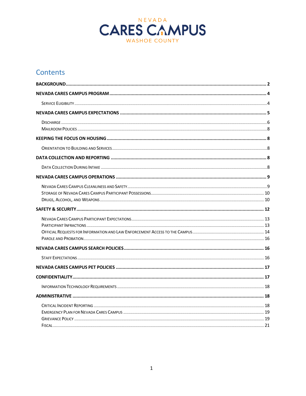

# Contents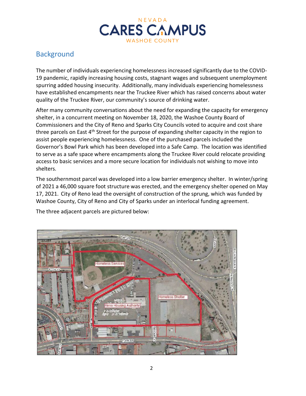

# <span id="page-2-0"></span>**Background**

The number of individuals experiencing homelessness increased significantly due to the COVID-19 pandemic, rapidly increasing housing costs, stagnant wages and subsequent unemployment spurring added housing insecurity. Additionally, many individuals experiencing homelessness have established encampments near the Truckee River which has raised concerns about water quality of the Truckee River, our community's source of drinking water.

After many community conversations about the need for expanding the capacity for emergency shelter, in a concurrent meeting on November 18, 2020, the Washoe County Board of Commissioners and the City of Reno and Sparks City Councils voted to acquire and cost share three parcels on East 4<sup>th</sup> Street for the purpose of expanding shelter capacity in the region to assist people experiencing homelessness. One of the purchased parcels included the Governor's Bowl Park which has been developed into a Safe Camp. The location was identified to serve as a safe space where encampments along the Truckee River could relocate providing access to basic services and a more secure location for individuals not wishing to move into shelters.

The southernmost parcel was developed into a low barrier emergency shelter. In winter/spring of 2021 a 46,000 square foot structure was erected, and the emergency shelter opened on May 17, 2021. City of Reno lead the oversight of construction of the sprung, which was funded by Washoe County, City of Reno and City of Sparks under an interlocal funding agreement.

The three adjacent parcels are pictured below:

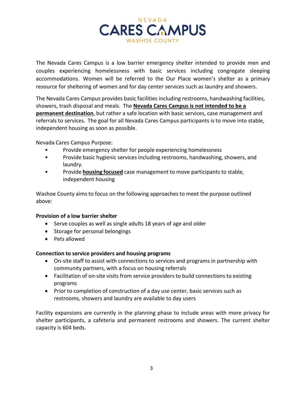

The Nevada Cares Campus is a low barrier emergency shelter intended to provide men and couples experiencing homelessness with basic services including congregate sleeping accommodations. Women will be referred to the Our Place women's shelter as a primary resource for sheltering of women and for day center services such as laundry and showers.

The Nevada Cares Campus provides basic facilities including restrooms, handwashing facilities, showers, trash disposal and meals. The **Nevada Cares Campus is not intended to be a permanent destination**, but rather a safe location with basic services, case management and referrals to services. The goal for all Nevada Cares Campus participants is to move into stable, independent housing as soon as possible.

Nevada Cares Campus Purpose:

- Provide emergency shelter for people experiencing homelessness
- Provide basic hygienic services including restrooms, handwashing, showers, and laundry.
- Provide **housing focused** case management to move participants to stable, independent housing

Washoe County aims to focus on the following approaches to meet the purpose outlined above:

#### **Provision of a low barrier shelter**

- Serve couples as well as single adults 18 years of age and older
- Storage for personal belongings
- Pets allowed

#### **Connection to service providers and housing programs**

- On-site staff to assist with connections to services and programs in partnership with community partners, with a focus on housing referrals
- Facilitation of on-site visits from service providers to build connections to existing programs
- Prior to completion of construction of a day use center, basic services such as restrooms, showers and laundry are available to day users

Facility expansions are currently in the planning phase to include areas with more privacy for shelter participants, a cafeteria and permanent restrooms and showers. The current shelter capacity is 604 beds.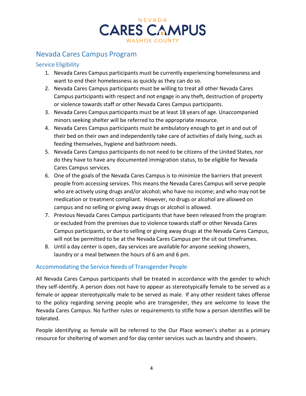

# <span id="page-4-0"></span>Nevada Cares Campus Program

#### <span id="page-4-1"></span>Service Eligibility

- 1. Nevada Cares Campus participants must be currently experiencing homelessness and want to end their homelessness as quickly as they can do so.
- 2. Nevada Cares Campus participants must be willing to treat all other Nevada Cares Campus participants with respect and not engage in any theft, destruction of property or violence towards staff or other Nevada Cares Campus participants.
- 3. Nevada Cares Campus participants must be at least 18 years of age. Unaccompanied minors seeking shelter will be referred to the appropriate resource.
- 4. Nevada Cares Campus participants must be ambulatory enough to get in and out of their bed on their own and independently take care of activities of daily living, such as feeding themselves, hygiene and bathroom needs.
- 5. Nevada Cares Campus participants do not need to be citizens of the United States, nor do they have to have any documented immigration status, to be eligible for Nevada Cares Campus services.
- 6. One of the goals of the Nevada Cares Campus is to minimize the barriers that prevent people from accessing services. This means the Nevada Cares Campus will serve people who are actively using drugs and/or alcohol; who have no income; and who may not be medication or treatment compliant. However, no drugs or alcohol are allowed on campus and no selling or giving away drugs or alcohol is allowed.
- 7. Previous Nevada Cares Campus participants that have been released from the program or excluded from the premises due to violence towards staff or other Nevada Cares Campus participants, or due to selling or giving away drugs at the Nevada Cares Campus, will not be permitted to be at the Nevada Cares Campus per the sit out timeframes.
- 8. Until a day center is open, day services are available for anyone seeking showers, laundry or a meal between the hours of 6 am and 6 pm.

## Accommodating the Service Needs of Transgender People

All Nevada Cares Campus participants shall be treated in accordance with the gender to which they self-identify. A person does not have to appear as stereotypically female to be served as a female or appear stereotypically male to be served as male. If any other resident takes offense to the policy regarding serving people who are transgender, they are welcome to leave the Nevada Cares Campus. No further rules or requirements to stifle how a person identifies will be tolerated.

People identifying as female will be referred to the Our Place women's shelter as a primary resource for sheltering of women and for day center services such as laundry and showers.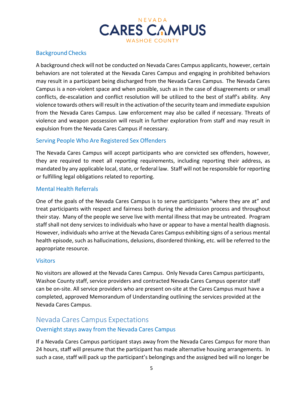

## Background Checks

A background check will not be conducted on Nevada Cares Campus applicants, however, certain behaviors are not tolerated at the Nevada Cares Campus and engaging in prohibited behaviors may result in a participant being discharged from the Nevada Cares Campus. The Nevada Cares Campus is a non-violent space and when possible, such as in the case of disagreements or small conflicts, de-escalation and conflict resolution will be utilized to the best of staff's ability. Any violence towards others will result in the activation of the security team and immediate expulsion from the Nevada Cares Campus. Law enforcement may also be called if necessary. Threats of violence and weapon possession will result in further exploration from staff and may result in expulsion from the Nevada Cares Campus if necessary.

#### Serving People Who Are Registered Sex Offenders

The Nevada Cares Campus will accept participants who are convicted sex offenders, however, they are required to meet all reporting requirements, including reporting their address, as mandated by any applicable local, state, or federal law. Staff will not be responsible for reporting or fulfilling legal obligations related to reporting.

#### Mental Health Referrals

One of the goals of the Nevada Cares Campus is to serve participants "where they are at" and treat participants with respect and fairness both during the admission process and throughout their stay. Many of the people we serve live with mental illness that may be untreated. Program staff shall not deny services to individuals who have or appear to have a mental health diagnosis. However, individuals who arrive at the Nevada Cares Campus exhibiting signs of a serious mental health episode, such as hallucinations, delusions, disordered thinking, etc. will be referred to the appropriate resource.

#### **Visitors**

No visitors are allowed at the Nevada Cares Campus. Only Nevada Cares Campus participants, Washoe County staff, service providers and contracted Nevada Cares Campus operator staff can be on-site. All service providers who are present on-site at the Cares Campus must have a completed, approved Memorandum of Understanding outlining the services provided at the Nevada Cares Campus.

# <span id="page-5-0"></span>Nevada Cares Campus Expectations Overnight stays away from the Nevada Cares Campus

If a Nevada Cares Campus participant stays away from the Nevada Cares Campus for more than 24 hours, staff will presume that the participant has made alternative housing arrangements. In such a case, staff will pack up the participant's belongings and the assigned bed will no longer be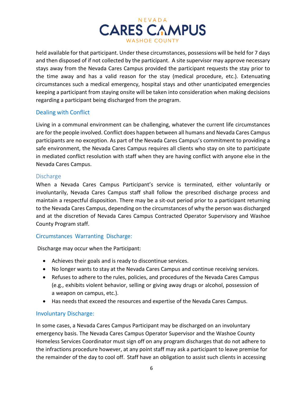

held available for that participant. Under these circumstances, possessions will be held for 7 days and then disposed of if not collected by the participant. A site supervisor may approve necessary stays away from the Nevada Cares Campus provided the participant requests the stay prior to the time away and has a valid reason for the stay (medical procedure, etc.). Extenuating circumstances such a medical emergency, hospital stays and other unanticipated emergencies keeping a participant from staying onsite will be taken into consideration when making decisions regarding a participant being discharged from the program.

#### Dealing with Conflict

Living in a communal environment can be challenging, whatever the current life circumstances are for the people involved. Conflict does happen between all humans and Nevada Cares Campus participants are no exception. As part of the Nevada Cares Campus's commitment to providing a safe environment, the Nevada Cares Campus requires all clients who stay on site to participate in mediated conflict resolution with staff when they are having conflict with anyone else in the Nevada Cares Campus.

#### <span id="page-6-0"></span>**Discharge**

When a Nevada Cares Campus Participant's service is terminated, either voluntarily or involuntarily, Nevada Cares Campus staff shall follow the prescribed discharge process and maintain a respectful disposition. There may be a sit-out period prior to a participant returning to the Nevada Cares Campus, depending on the circumstances of why the person was discharged and at the discretion of Nevada Cares Campus Contracted Operator Supervisory and Washoe County Program staff.

#### Circumstances Warranting Discharge:

Discharge may occur when the Participant:

- Achieves their goals and is ready to discontinue services.
- No longer wants to stay at the Nevada Cares Campus and continue receiving services.
- Refuses to adhere to the rules, policies, and procedures of the Nevada Cares Campus (e.g., exhibits violent behavior, selling or giving away drugs or alcohol, possession of a weapon on campus, etc.).
- Has needs that exceed the resources and expertise of the Nevada Cares Campus.

#### Involuntary Discharge:

In some cases, a Nevada Cares Campus Participant may be discharged on an involuntary emergency basis. The Nevada Cares Campus Operator Supervisor and the Washoe County Homeless Services Coordinator must sign off on any program discharges that do not adhere to the infractions procedure however, at any point staff may ask a participant to leave premise for the remainder of the day to cool off. Staff have an obligation to assist such clients in accessing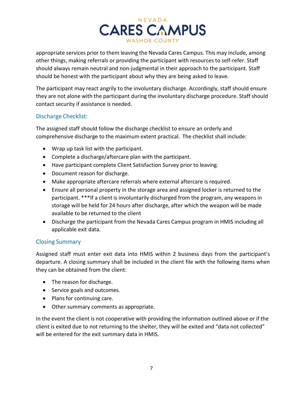

appropriate services prior to them leaving the Nevada Cares Campus. This may include, among other things, making referrals or providing the participant with resources to self-refer. Staff should always remain neutral and non-judgmental in their approach to the participant. Staff should be honest with the participant about why they are being asked to leave.

The participant may react angrily to the involuntary discharge. Accordingly, staff should ensure they are not alone with the participant during the involuntary discharge procedure. Staff should contact security if assistance is needed.

#### Discharge Checklist:

The assigned staff should follow the discharge checklist to ensure an orderly and comprehensive discharge to the maximum extent practical. The checklist shall include:

- Wrap up task list with the participant.
- Complete a discharge/aftercare plan with the participant.
- Have participant complete Client Satisfaction Survey prior to leaving.
- Document reason for discharge.
- Make appropriate aftercare referrals where external aftercare is required.
- Ensure all personal property in the storage area and assigned locker is returned to the participant. \*\*\*If a client is involuntarily discharged from the program, any weapons in storage will be held for 24 hours after discharge, after which the weapon will be made available to be returned to the client
- Discharge the participant from the Nevada Cares Campus program in HMIS including all applicable exit data.

#### Closing Summary

Assigned staff must enter exit data into HMIS within 2 business days from the participant's departure. A closing summary shall be included in the client file with the following items when they can be obtained from the client:

- The reason for discharge.
- Service goals and outcomes.
- Plans for continuing care.
- Other summary comments as appropriate.

In the event the client is not cooperative with providing the information outlined above or if the client is exited due to not returning to the shelter, they will be exited and "data not collected" will be entered for the exit summary data in HMIS.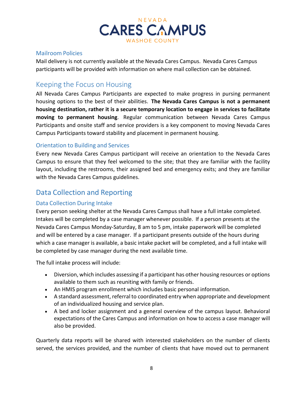

#### <span id="page-8-0"></span>Mailroom Policies

Mail delivery is not currently available at the Nevada Cares Campus. Nevada Cares Campus participants will be provided with information on where mail collection can be obtained.

## <span id="page-8-1"></span>Keeping the Focus on Housing

All Nevada Cares Campus Participants are expected to make progress in pursing permanent housing options to the best of their abilities. **The Nevada Cares Campus is not a permanent housing destination, rather it is a secure temporary location to engage in services to facilitate moving to permanent housing**. Regular communication between Nevada Cares Campus Participants and onsite staff and service providers is a key component to moving Nevada Cares Campus Participants toward stability and placement in permanent housing.

#### <span id="page-8-2"></span>Orientation to Building and Services

Every new Nevada Cares Campus participant will receive an orientation to the Nevada Cares Campus to ensure that they feel welcomed to the site; that they are familiar with the facility layout, including the restrooms, their assigned bed and emergency exits; and they are familiar with the Nevada Cares Campus guidelines.

## <span id="page-8-3"></span>Data Collection and Reporting

## <span id="page-8-4"></span>Data Collection During Intake

Every person seeking shelter at the Nevada Cares Campus shall have a full intake completed. Intakes will be completed by a case manager whenever possible. If a person presents at the Nevada Cares Campus Monday-Saturday, 8 am to 5 pm, intake paperwork will be completed and will be entered by a case manager. If a participant presents outside of the hours during which a case manager is available, a basic intake packet will be completed, and a full intake will be completed by case manager during the next available time.

The full intake process will include:

- Diversion, which includes assessing if a participant has other housing resources or options available to them such as reuniting with family or friends.
- An HMIS program enrollment which includes basic personal information.
- A standard assessment, referral to coordinated entry when appropriate and development of an individualized housing and service plan.
- A bed and locker assignment and a general overview of the campus layout. Behavioral expectations of the Cares Campus and information on how to access a case manager will also be provided.

Quarterly data reports will be shared with interested stakeholders on the number of clients served, the services provided, and the number of clients that have moved out to permanent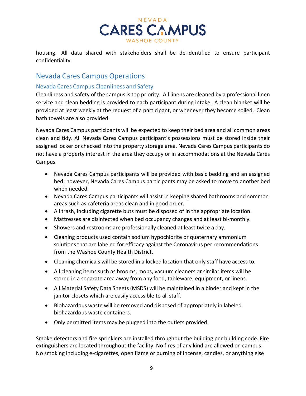

housing. All data shared with stakeholders shall be de-identified to ensure participant confidentiality.

## <span id="page-9-0"></span>Nevada Cares Campus Operations

## <span id="page-9-1"></span>Nevada Cares Campus Cleanliness and Safety

Cleanliness and safety of the campus is top priority. All linens are cleaned by a professional linen service and clean bedding is provided to each participant during intake. A clean blanket will be provided at least weekly at the request of a participant, or whenever they become soiled. Clean bath towels are also provided.

Nevada Cares Campus participants will be expected to keep their bed area and all common areas clean and tidy. All Nevada Cares Campus participant's possessions must be stored inside their assigned locker or checked into the property storage area. Nevada Cares Campus participants do not have a property interest in the area they occupy or in accommodations at the Nevada Cares Campus.

- Nevada Cares Campus participants will be provided with basic bedding and an assigned bed; however, Nevada Cares Campus participants may be asked to move to another bed when needed.
- Nevada Cares Campus participants will assist in keeping shared bathrooms and common areas such as cafeteria areas clean and in good order.
- All trash, including cigarette buts must be disposed of in the appropriate location.
- Mattresses are disinfected when bed occupancy changes and at least bi-monthly.
- Showers and restrooms are professionally cleaned at least twice a day.
- Cleaning products used contain sodium hypochlorite or quaternary ammonium solutions that are labeled for efficacy against the Coronavirus per recommendations from the Washoe County Health District.
- Cleaning chemicals will be stored in a locked location that only staff have access to.
- All cleaning items such as brooms, mops, vacuum cleaners or similar items will be stored in a separate area away from any food, tableware, equipment, or linens.
- All Material Safety Data Sheets (MSDS) will be maintained in a binder and kept in the janitor closets which are easily accessible to all staff.
- Biohazardous waste will be removed and disposed of appropriately in labeled biohazardous waste containers.
- Only permitted items may be plugged into the outlets provided.

Smoke detectors and fire sprinklers are installed throughout the building per building code. Fire extinguishers are located throughout the facility. No fires of any kind are allowed on campus. No smoking including e-cigarettes, open flame or burning of incense, candles, or anything else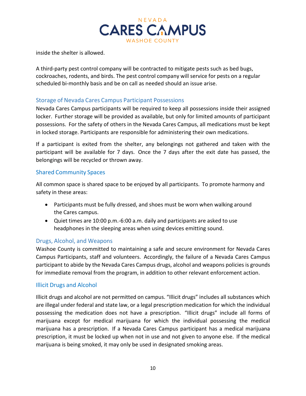

inside the shelter is allowed.

A third-party pest control company will be contracted to mitigate pests such as bed bugs, cockroaches, rodents, and birds. The pest control company will service for pests on a regular scheduled bi-monthly basis and be on call as needed should an issue arise.

#### <span id="page-10-0"></span>Storage of Nevada Cares Campus Participant Possessions

Nevada Cares Campus participants will be required to keep all possessions inside their assigned locker. Further storage will be provided as available, but only for limited amounts of participant possessions. For the safety of others in the Nevada Cares Campus, all medications must be kept in locked storage. Participants are responsible for administering their own medications.

If a participant is exited from the shelter, any belongings not gathered and taken with the participant will be available for 7 days. Once the 7 days after the exit date has passed, the belongings will be recycled or thrown away.

#### Shared Community Spaces

All common space is shared space to be enjoyed by all participants. To promote harmony and safety in these areas:

- Participants must be fully dressed, and shoes must be worn when walking around the Cares campus.
- Quiet times are 10:00 p.m.-6:00 a.m. daily and participants are asked to use headphones in the sleeping areas when using devices emitting sound.

#### <span id="page-10-1"></span>Drugs, Alcohol, and Weapons

Washoe County is committed to maintaining a safe and secure environment for Nevada Cares Campus Participants, staff and volunteers. Accordingly, the failure of a Nevada Cares Campus participant to abide by the Nevada Cares Campus drugs, alcohol and weapons policies is grounds for immediate removal from the program, in addition to other relevant enforcement action.

#### Illicit Drugs and Alcohol

Illicit drugs and alcohol are not permitted on campus. "Illicit drugs" includes all substances which are illegal under federal and state law, or a legal prescription medication for which the individual possessing the medication does not have a prescription. "Illicit drugs" include all forms of marijuana except for medical marijuana for which the individual possessing the medical marijuana has a prescription. If a Nevada Cares Campus participant has a medical marijuana prescription, it must be locked up when not in use and not given to anyone else. If the medical marijuana is being smoked, it may only be used in designated smoking areas.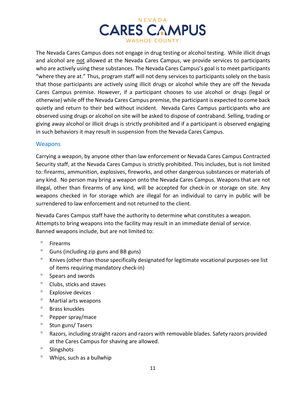

The Nevada Cares Campus does not engage in drug testing or alcohol testing. While illicit drugs and alcohol are not allowed at the Nevada Cares Campus, we provide services to participants who are actively using these substances. The Nevada Cares Campus's goal is to meet participants "where they are at." Thus, program staff will not deny services to participants solely on the basis that those participants are actively using illicit drugs or alcohol while they are off the Nevada Cares Campus premise. However, if a participant chooses to use alcohol or drugs (legal or otherwise) while off the Nevada Cares Campus premise, the participant is expected to come back quietly and return to their bed without incident. Nevada Cares Campus participants who are observed using drugs or alcohol on site will be asked to dispose of contraband. Selling, trading or giving away alcohol or illicit drugs is strictly prohibited and if a participant is observed engaging in such behaviors it may result in suspension from the Nevada Cares Campus.

#### **Weapons**

Carrying a weapon, by anyone other than law enforcement or Nevada Cares Campus Contracted Security staff, at the Nevada Cares Campus is strictly prohibited. This includes, but is not limited to: firearms, ammunition, explosives, fireworks, and other dangerous substances or materials of any kind. No person may bring a weapon onto the Nevada Cares Campus. Weapons that are not illegal, other than firearms of any kind, will be accepted for check-in or storage on site. Any weapons checked in for storage which are illegal for an individual to carry in public will be surrendered to law enforcement and not returned to the client.

Nevada Cares Campus staff have the authority to determine what constitutes a weapon. Attempts to bring weapons into the facility may result in an immediate denial of service. Banned weapons include, but are not limited to:

- ° Firearms
- ° Guns (including zip guns and BB guns)
- ° Knives (other than those specifically designated for legitimate vocational purposes-see list of items requiring mandatory check-in)
- ° Spears and swords
- ° Clubs, sticks and staves
- ° Explosive devices
- ° Martial arts weapons
- ° Brass knuckles
- ° Pepper spray/mace
- ° Stun guns/ Tasers
- ° Razors, including straight razors and razors with removable blades. Safety razors provided at the Cares Campus for shaving are allowed.
- ° Slingshots
- ° Whips, such as a bullwhip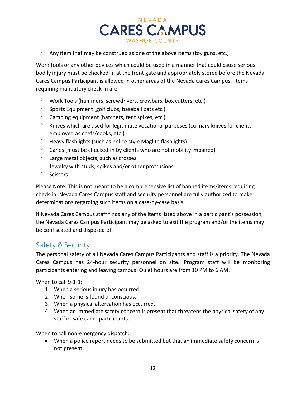

 $\degree$  Any item that may be construed as one of the above items (toy guns, etc.)

Work tools or any other devices which could be used in a manner that could cause serious bodily injury must be checked-in at the front gate and appropriately stored before the Nevada Cares Campus Participant is allowed in other areas of the Nevada Cares Campus. Items requiring mandatory check-in are:

- ° Work Tools (hammers, screwdrivers, crowbars, box cutters, etc.)
- ° Sports Equipment (golf clubs, baseball bats etc.)
- ° Camping equipment (hatchets, tent spikes, etc.)
- ° Knives which are used for legitimate vocational purposes (culinary knives for clients employed as chefs/cooks, etc.)
- ° Heavy flashlights (such as police style Maglite flashlights)
- ° Canes (must be checked-in by clients who are not mobility impaired)
- ° Large metal objects, such as crosses
- ° Jewelry with studs, spikes and/or other protrusions
- ° Scissors

Please Note: This is not meant to be a comprehensive list of banned items/items requiring check-in. Nevada Cares Campus staff and security personnel are fully authorized to make determinations regarding such items on a case-by-case basis.

If Nevada Cares Campus staff finds any of the items listed above in a participant's possession, the Nevada Cares Campus Participant may be asked to exit the program and/or the items may be confiscated and disposed of.

## <span id="page-12-0"></span>Safety & Security

The personal safety of all Nevada Cares Campus Participants and staff is a priority. The Nevada Cares Campus has 24-hour security personnel on site. Program staff will be monitoring participants entering and leaving campus. Quiet hours are from 10 PM to 6 AM.

When to call 9-1-1:

- 1. When a serious injury has occurred.
- 2. When some is found unconscious.
- 3. When a physical altercation has occurred.
- 4. When an immediate safety concern is present that threatens the physical safety of any staff or safe camp participants.

When to call non-emergency dispatch:

• When a police report needs to be submitted but that an immediate safety concern is not present.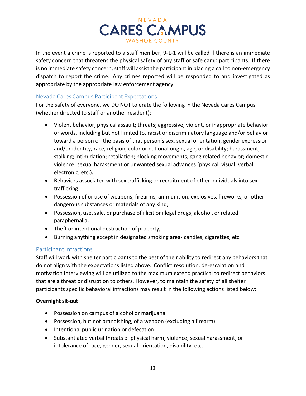

In the event a crime is reported to a staff member, 9-1-1 will be called if there is an immediate safety concern that threatens the physical safety of any staff or safe camp participants. If there is no immediate safety concern, staff will assist the participant in placing a call to non-emergency dispatch to report the crime. Any crimes reported will be responded to and investigated as appropriate by the appropriate law enforcement agency.

#### <span id="page-13-0"></span>Nevada Cares Campus Participant Expectations

For the safety of everyone, we DO NOT tolerate the following in the Nevada Cares Campus (whether directed to staff or another resident):

- Violent behavior; physical assault; threats; aggressive, violent, or inappropriate behavior or words, including but not limited to, racist or discriminatory language and/or behavior toward a person on the basis of that person's sex, sexual orientation, gender expression and/or identity, race, religion, color or national origin, age, or disability; harassment; stalking; intimidation; retaliation; blocking movements; gang related behavior; domestic violence; sexual harassment or unwanted sexual advances (physical, visual, verbal, electronic, etc.).
- Behaviors associated with sex trafficking or recruitment of other individuals into sex trafficking.
- Possession of or use of weapons, firearms, ammunition, explosives, fireworks, or other dangerous substances or materials of any kind;
- Possession, use, sale, or purchase of illicit or illegal drugs, alcohol, or related paraphernalia;
- Theft or intentional destruction of property;
- Burning anything except in designated smoking area- candles, cigarettes, etc.

## <span id="page-13-1"></span>Participant Infractions

Staff will work with shelter participants to the best of their ability to redirect any behaviors that do not align with the expectations listed above. Conflict resolution, de-escalation and motivation interviewing will be utilized to the maximum extend practical to redirect behaviors that are a threat or disruption to others. However, to maintain the safety of all shelter participants specific behavioral infractions may result in the following actions listed below:

#### **Overnight sit-out**

- Possession on campus of alcohol or marijuana
- Possession, but not brandishing, of a weapon (excluding a firearm)
- Intentional public urination or defecation
- Substantiated verbal threats of physical harm, violence, sexual harassment, or intolerance of race, gender, sexual orientation, disability, etc.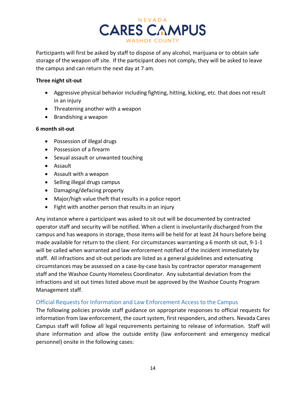

Participants will first be asked by staff to dispose of any alcohol, marijuana or to obtain safe storage of the weapon off site. If the participant does not comply, they will be asked to leave the campus and can return the next day at 7 am.

#### **Three night sit-out**

- Aggressive physical behavior including fighting, hitting, kicking, etc. that does not result in an injury
- Threatening another with a weapon
- Brandishing a weapon

#### **6 month sit-out**

- Possession of illegal drugs
- Possession of a firearm
- Sexual assault or unwanted touching
- Assault
- Assault with a weapon
- Selling illegal drugs campus
- Damaging/defacing property
- Major/high value theft that results in a police report
- Fight with another person that results in an injury

Any instance where a participant was asked to sit out will be documented by contracted operator staff and security will be notified. When a client is involuntarily discharged from the campus and has weapons in storage, those items will be held for at least 24 hours before being made available for return to the client. For circumstances warranting a 6 month sit out, 9-1-1 will be called when warranted and law enforcement notified of the incident immediately by staff. All infractions and sit-out periods are listed as a general guidelines and extenuating circumstances may be assessed on a case-by-case basis by contractor operator management staff and the Washoe County Homeless Coordinator. Any substantial deviation from the infractions and sit out times listed above must be approved by the Washoe County Program Management staff.

## <span id="page-14-0"></span>Official Requestsfor Information and Law Enforcement Access to the Campus

The following policies provide staff guidance on appropriate responses to official requests for information from law enforcement, the court system, first responders, and others. Nevada Cares Campus staff will follow all legal requirements pertaining to release of information. Staff will share information and allow the outside entity (law enforcement and emergency medical personnel) onsite in the following cases: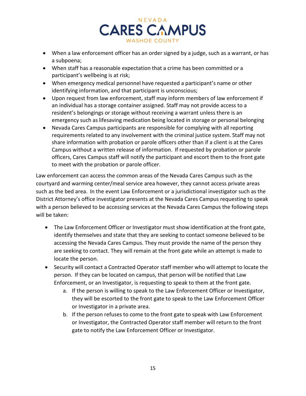

- When a law enforcement officer has an order signed by a judge, such as a warrant, or has a subpoena;
- When staff has a reasonable expectation that a crime has been committed or a participant's wellbeing is at risk;
- When emergency medical personnel have requested a participant's name or other identifying information, and that participant is unconscious;
- Upon request from law enforcement, staff may inform members of law enforcement if an individual has a storage container assigned. Staff may not provide access to a resident's belongings or storage without receiving a warrant unless there is an emergency such as lifesaving medication being located in storage or personal belonging
- Nevada Cares Campus participants are responsible for complying with all reporting requirements related to any involvement with the criminal justice system. Staff may not share information with probation or parole officers other than if a client is at the Cares Campus without a written release of information. If requested by probation or parole officers, Cares Campus staff will notify the participant and escort them to the front gate to meet with the probation or parole officer.

Law enforcement can access the common areas of the Nevada Cares Campus such as the courtyard and warming center/meal service area however, they cannot access private areas such as the bed area. In the event Law Enforcement or a jurisdictional investigator such as the District Attorney's office investigator presents at the Nevada Cares Campus requesting to speak with a person believed to be accessing services at the Nevada Cares Campus the following steps will be taken:

- The Law Enforcement Officer or Investigator must show identification at the front gate, identify themselves and state that they are seeking to contact someone believed to be accessing the Nevada Cares Campus. They must provide the name of the person they are seeking to contact. They will remain at the front gate while an attempt is made to locate the person.
- Security will contact a Contracted Operator staff member who will attempt to locate the person. If they can be located on campus, that person will be notified that Law Enforcement, or an Investigator, is requesting to speak to them at the front gate.
	- a. If the person is willing to speak to the Law Enforcement Officer or Investigator, they will be escorted to the front gate to speak to the Law Enforcement Officer or Investigator in a private area.
	- b. If the person refuses to come to the front gate to speak with Law Enforcement or Investigator, the Contracted Operator staff member will return to the front gate to notify the Law Enforcement Officer or Investigator.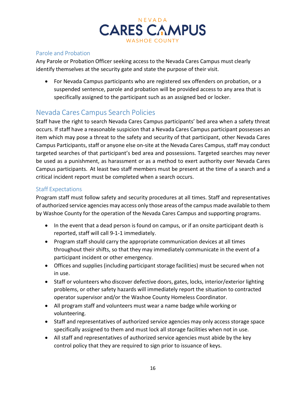

## <span id="page-16-0"></span>Parole and Probation

Any Parole or Probation Officer seeking access to the Nevada Cares Campus must clearly identify themselves at the security gate and state the purpose of their visit.

• For Nevada Campus participants who are registered sex offenders on probation, or a suspended sentence, parole and probation will be provided access to any area that is specifically assigned to the participant such as an assigned bed or locker.

## <span id="page-16-1"></span>Nevada Cares Campus Search Policies

Staff have the right to search Nevada Cares Campus participants' bed area when a safety threat occurs. If staff have a reasonable suspicion that a Nevada Cares Campus participant possesses an item which may pose a threat to the safety and security of that participant, other Nevada Cares Campus Participants, staff or anyone else on-site at the Nevada Cares Campus, staff may conduct targeted searches of that participant's bed area and possessions. Targeted searches may never be used as a punishment, as harassment or as a method to exert authority over Nevada Cares Campus participants. At least two staff members must be present at the time of a search and a critical incident report must be completed when a search occurs.

#### <span id="page-16-2"></span>Staff Expectations

Program staff must follow safety and security procedures at all times. Staff and representatives of authorized service agencies may access only those areas of the campus made available to them by Washoe County for the operation of the Nevada Cares Campus and supporting programs.

- In the event that a dead person is found on campus, or if an onsite participant death is reported, staff will call 9-1-1 immediately.
- Program staff should carry the appropriate communication devices at all times throughout their shifts, so that they may immediately communicate in the event of a participant incident or other emergency.
- Offices and supplies (including participant storage facilities) must be secured when not in use.
- Staff or volunteers who discover defective doors, gates, locks, interior/exterior lighting problems, or other safety hazards will immediately report the situation to contracted operator supervisor and/or the Washoe County Homeless Coordinator.
- All program staff and volunteers must wear a name badge while working or volunteering.
- Staff and representatives of authorized service agencies may only access storage space specifically assigned to them and must lock all storage facilities when not in use.
- All staff and representatives of authorized service agencies must abide by the key control policy that they are required to sign prior to issuance of keys.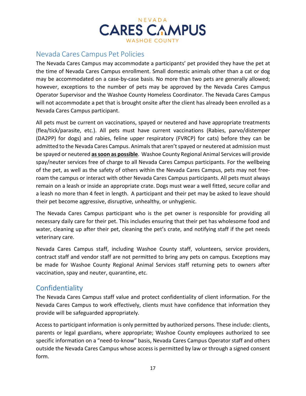

# <span id="page-17-0"></span>Nevada Cares Campus Pet Policies

The Nevada Cares Campus may accommodate a participants' pet provided they have the pet at the time of Nevada Cares Campus enrollment. Small domestic animals other than a cat or dog may be accommodated on a case-by-case basis. No more than two pets are generally allowed; however, exceptions to the number of pets may be approved by the Nevada Cares Campus Operator Supervisor and the Washoe County Homeless Coordinator. The Nevada Cares Campus will not accommodate a pet that is brought onsite after the client has already been enrolled as a Nevada Cares Campus participant.

All pets must be current on vaccinations, spayed or neutered and have appropriate treatments (flea/tick/parasite, etc.). All pets must have current vaccinations (Rabies, parvo/distemper (DA2PP) for dogs) and rabies, feline upper respiratory (FVRCP) for cats) before they can be admitted to the Nevada Cares Campus. Animals that aren't spayed or neutered at admission must be spayed or neutered **assoon as possible**. Washoe County Regional Animal Services will provide spay/neuter services free of charge to all Nevada Cares Campus participants. For the wellbeing of the pet, as well as the safety of others within the Nevada Cares Campus, pets may not freeroam the campus or interact with other Nevada Cares Campus participants. All pets must always remain on a leash or inside an appropriate crate. Dogs must wear a well fitted, secure collar and a leash no more than 4 feet in length. A participant and their pet may be asked to leave should their pet become aggressive, disruptive, unhealthy, or unhygienic.

The Nevada Cares Campus participant who is the pet owner is responsible for providing all necessary daily care for their pet. This includes ensuring that their pet has wholesome food and water, cleaning up after their pet, cleaning the pet's crate, and notifying staff if the pet needs veterinary care.

Nevada Cares Campus staff, including Washoe County staff, volunteers, service providers, contract staff and vendor staff are not permitted to bring any pets on campus. Exceptions may be made for Washoe County Regional Animal Services staff returning pets to owners after vaccination, spay and neuter, quarantine, etc.

## <span id="page-17-1"></span>**Confidentiality**

The Nevada Cares Campus staff value and protect confidentiality of client information. For the Nevada Cares Campus to work effectively, clients must have confidence that information they provide will be safeguarded appropriately.

Access to participant information is only permitted by authorized persons. These include: clients, parents or legal guardians, where appropriate; Washoe County employees authorized to see specific information on a "need-to-know" basis, Nevada Cares Campus Operator staff and others outside the Nevada Cares Campus whose access is permitted by law or through a signed consent form.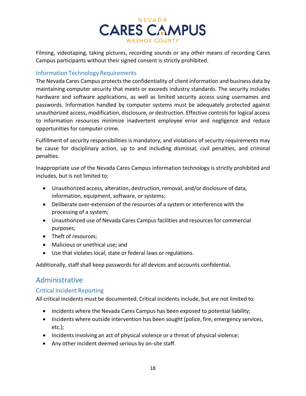

Filming, videotaping, taking pictures, recording sounds or any other means of recording Cares Campus participants without their signed consent is strictly prohibited.

#### <span id="page-18-0"></span>Information Technology Requirements

The Nevada Cares Campus protects the confidentiality of client information and business data by maintaining computer security that meets or exceeds industry standards. The security includes hardware and software applications, as well as limited security access using usernames and passwords. Information handled by computer systems must be adequately protected against unauthorized access, modification, disclosure, or destruction. Effective controlsfor logical access to information resources minimize inadvertent employee error and negligence and reduce opportunities for computer crime.

Fulfillment of security responsibilities is mandatory, and violations of security requirements may be cause for disciplinary action, up to and including dismissal, civil penalties, and criminal penalties.

Inappropriate use of the Nevada Cares Campus information technology is strictly prohibited and includes, but is not limited to:

- Unauthorized access, alteration, destruction, removal, and/or disclosure of data, information, equipment, software, or systems;
- Deliberate over-extension of the resources of a system or interference with the processing of a system;
- Unauthorized use of Nevada Cares Campus facilities and resources for commercial purposes;
- Theft of resources;
- Malicious or unethical use; and
- Use that violates local, state or federal laws or regulations.

Additionally, staff shall keep passwords for all devices and accounts confidential.

## <span id="page-18-1"></span>Administrative

## <span id="page-18-2"></span>Critical Incident Reporting

All critical incidents must be documented. Critical incidents include, but are not limited to:

- Incidents where the Nevada Cares Campus has been exposed to potential liability;
- Incidents where outside intervention has been sought (police, fire, emergency services, etc.);
- Incidents involving an act of physical violence or a threat of physical violence;
- Any other incident deemed serious by on-site staff.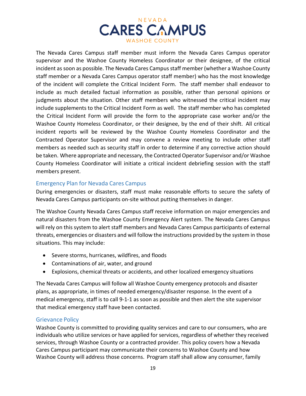

The Nevada Cares Campus staff member must inform the Nevada Cares Campus operator supervisor and the Washoe County Homeless Coordinator or their designee, of the critical incident as soon as possible. The Nevada Cares Campus staff member (whether a Washoe County staff member or a Nevada Cares Campus operator staff member) who has the most knowledge of the incident will complete the Critical Incident Form. The staff member shall endeavor to include as much detailed factual information as possible, rather than personal opinions or judgments about the situation. Other staff members who witnessed the critical incident may include supplements to the Critical Incident Form as well. The staff member who has completed the Critical Incident Form will provide the form to the appropriate case worker and/or the Washoe County Homeless Coordinator, or their designee, by the end of their shift. All critical incident reports will be reviewed by the Washoe County Homeless Coordinator and the Contracted Operator Supervisor and may convene a review meeting to include other staff members as needed such as security staff in order to determine if any corrective action should be taken. Where appropriate and necessary, the Contracted Operator Supervisor and/or Washoe County Homeless Coordinator will initiate a critical incident debriefing session with the staff members present.

#### <span id="page-19-0"></span>Emergency Plan for Nevada Cares Campus

During emergencies or disasters, staff must make reasonable efforts to secure the safety of Nevada Cares Campus participants on-site without putting themselves in danger.

The Washoe County Nevada Cares Campus staff receive information on major emergencies and natural disasters from the Washoe County Emergency Alert system. The Nevada Cares Campus will rely on this system to alert staff members and Nevada Cares Campus participants of external threats, emergencies or disasters and will follow the instructions provided by the system in those situations. This may include:

- Severe storms, hurricanes, wildfires, and floods
- Contaminations of air, water, and ground
- Explosions, chemical threats or accidents, and other localized emergency situations

The Nevada Cares Campus will follow all Washoe County emergency protocols and disaster plans, as appropriate, in times of needed emergency/disaster response. In the event of a medical emergency, staff is to call 9-1-1 as soon as possible and then alert the site supervisor that medical emergency staff have been contacted.

#### <span id="page-19-1"></span>Grievance Policy

Washoe County is committed to providing quality services and care to our consumers, who are individuals who utilize services or have applied for services, regardless of whether they received services, through Washoe County or a contracted provider. This policy covers how a Nevada Cares Campus participant may communicate their concerns to Washoe County and how Washoe County will address those concerns. Program staff shall allow any consumer, family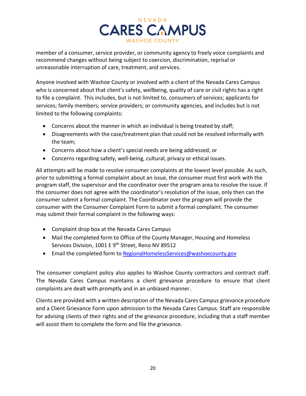

member of a consumer, service provider, or community agency to freely voice complaints and recommend changes without being subject to coercion, discrimination, reprisal or unreasonable interruption of care, treatment, and services.

Anyone involved with Washoe County or involved with a client of the Nevada Cares Campus who is concerned about that client's safety, wellbeing, quality of care or civil rights has a right to file a complaint. This includes, but is not limited to, consumers of services; applicants for services; family members; service providers; or community agencies, and includes but is not limited to the following complaints:

- Concerns about the manner in which an individual is being treated by staff;
- Disagreements with the case/treatment plan that could not be resolved informally with the team;
- Concerns about how a client's special needs are being addressed; or
- Concerns regarding safety, well-being, cultural, privacy or ethical issues.

All attempts will be made to resolve consumer complaints at the lowest level possible. As such, prior to submitting a formal complaint about an issue, the consumer must first work with the program staff, the supervisor and the coordinator over the program area to resolve the issue. If the consumer does not agree with the coordinator's resolution of the issue, only then can the consumer submit a formal complaint. The Coordinator over the program will provide the consumer with the Consumer Complaint Form to submit a formal complaint. The consumer may submit their formal complaint in the following ways:

- Complaint drop box at the Nevada Cares Campus
- Mail the completed form to Office of the County Manager, Housing and Homeless Services Division, 1001 E 9<sup>th</sup> Street, Reno NV 89512
- Email the completed form to [RegionalHomelessServices@washoecounty.gov](mailto:RegionalHomelessServices@washoecounty.gov)

The consumer complaint policy also applies to Washoe County contractors and contract staff. The Nevada Cares Campus maintains a client grievance procedure to ensure that client complaints are dealt with promptly and in an unbiased manner.

Clients are provided with a written description of the Nevada Cares Campus grievance procedure and a Client Grievance Form upon admission to the Nevada Cares Campus. Staff are responsible for advising clients of their rights and of the grievance procedure, including that a staff member will assist them to complete the form and file the grievance.